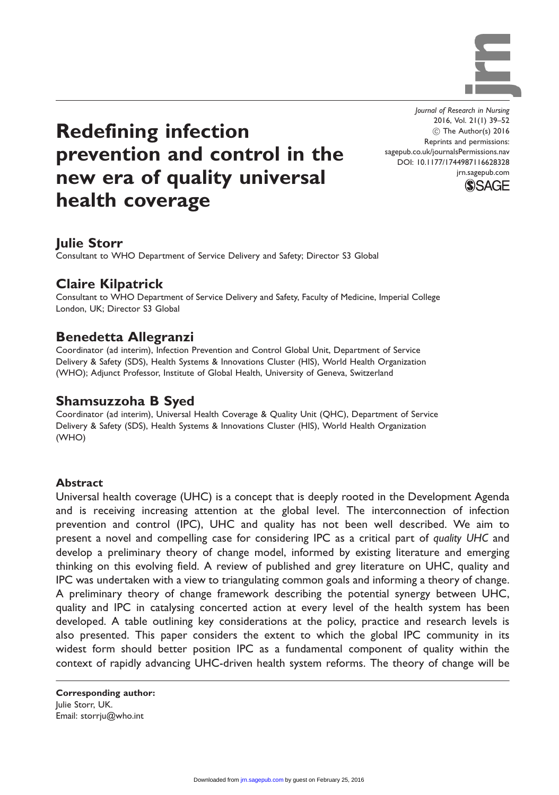

# Redefining infection prevention and control in the new era of quality universal health coverage

Journal of Research in Nursing 2016, Vol. 21(1) 39–52  $\circledcirc$  The Author(s) 2016 Reprints and permissions: sagepub.co.uk/journalsPermissions.nav DOI: 10.1177/1744987116628328 jrn.sagepub.com **SSAGE** 



Consultant to WHO Department of Service Delivery and Safety; Director S3 Global

# Claire Kilpatrick

Consultant to WHO Department of Service Delivery and Safety, Faculty of Medicine, Imperial College London, UK; Director S3 Global

# Benedetta Allegranzi

Coordinator (ad interim), Infection Prevention and Control Global Unit, Department of Service Delivery & Safety (SDS), Health Systems & Innovations Cluster (HIS), World Health Organization (WHO); Adjunct Professor, Institute of Global Health, University of Geneva, Switzerland

## Shamsuzzoha B Syed

Coordinator (ad interim), Universal Health Coverage & Quality Unit (QHC), Department of Service Delivery & Safety (SDS), Health Systems & Innovations Cluster (HIS), World Health Organization (WHO)

#### **Abstract**

Universal health coverage (UHC) is a concept that is deeply rooted in the Development Agenda and is receiving increasing attention at the global level. The interconnection of infection prevention and control (IPC), UHC and quality has not been well described. We aim to present a novel and compelling case for considering IPC as a critical part of quality UHC and develop a preliminary theory of change model, informed by existing literature and emerging thinking on this evolving field. A review of published and grey literature on UHC, quality and IPC was undertaken with a view to triangulating common goals and informing a theory of change. A preliminary theory of change framework describing the potential synergy between UHC, quality and IPC in catalysing concerted action at every level of the health system has been developed. A table outlining key considerations at the policy, practice and research levels is also presented. This paper considers the extent to which the global IPC community in its widest form should better position IPC as a fundamental component of quality within the context of rapidly advancing UHC-driven health system reforms. The theory of change will be

Corresponding author: Julie Storr, UK. Email: storrju@who.int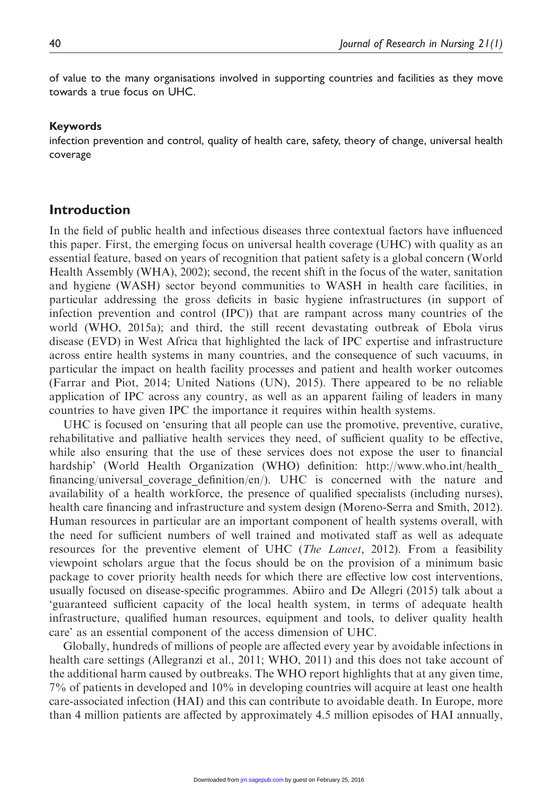of value to the many organisations involved in supporting countries and facilities as they move towards a true focus on UHC.

#### Keywords

infection prevention and control, quality of health care, safety, theory of change, universal health coverage

#### Introduction

In the field of public health and infectious diseases three contextual factors have influenced this paper. First, the emerging focus on universal health coverage (UHC) with quality as an essential feature, based on years of recognition that patient safety is a global concern (World Health Assembly (WHA), 2002); second, the recent shift in the focus of the water, sanitation and hygiene (WASH) sector beyond communities to WASH in health care facilities, in particular addressing the gross deficits in basic hygiene infrastructures (in support of infection prevention and control (IPC)) that are rampant across many countries of the world (WHO, 2015a); and third, the still recent devastating outbreak of Ebola virus disease (EVD) in West Africa that highlighted the lack of IPC expertise and infrastructure across entire health systems in many countries, and the consequence of such vacuums, in particular the impact on health facility processes and patient and health worker outcomes (Farrar and Piot, 2014; United Nations (UN), 2015). There appeared to be no reliable application of IPC across any country, as well as an apparent failing of leaders in many countries to have given IPC the importance it requires within health systems.

UHC is focused on 'ensuring that all people can use the promotive, preventive, curative, rehabilitative and palliative health services they need, of sufficient quality to be effective, while also ensuring that the use of these services does not expose the user to financial hardship' (World Health Organization (WHO) definition: http://www.who.int/health\_ financing/universal coverage definition/en/). UHC is concerned with the nature and availability of a health workforce, the presence of qualified specialists (including nurses), health care financing and infrastructure and system design (Moreno-Serra and Smith, 2012). Human resources in particular are an important component of health systems overall, with the need for sufficient numbers of well trained and motivated staff as well as adequate resources for the preventive element of UHC (The Lancet, 2012). From a feasibility viewpoint scholars argue that the focus should be on the provision of a minimum basic package to cover priority health needs for which there are effective low cost interventions, usually focused on disease-specific programmes. Abiiro and De Allegri (2015) talk about a 'guaranteed sufficient capacity of the local health system, in terms of adequate health infrastructure, qualified human resources, equipment and tools, to deliver quality health care' as an essential component of the access dimension of UHC.

Globally, hundreds of millions of people are affected every year by avoidable infections in health care settings (Allegranzi et al., 2011; WHO, 2011) and this does not take account of the additional harm caused by outbreaks. The WHO report highlights that at any given time, 7% of patients in developed and 10% in developing countries will acquire at least one health care-associated infection (HAI) and this can contribute to avoidable death. In Europe, more than 4 million patients are affected by approximately 4.5 million episodes of HAI annually,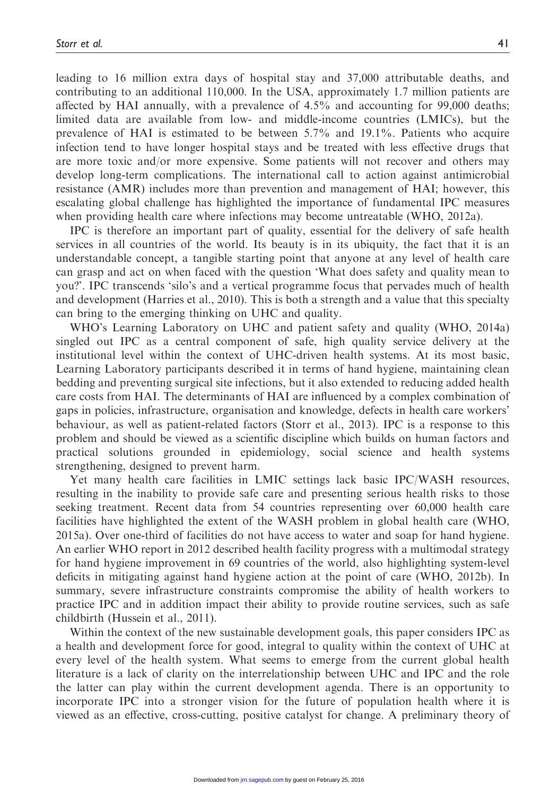leading to 16 million extra days of hospital stay and 37,000 attributable deaths, and contributing to an additional 110,000. In the USA, approximately 1.7 million patients are affected by HAI annually, with a prevalence of 4.5% and accounting for 99,000 deaths; limited data are available from low- and middle-income countries (LMICs), but the prevalence of HAI is estimated to be between 5.7% and 19.1%. Patients who acquire infection tend to have longer hospital stays and be treated with less effective drugs that are more toxic and/or more expensive. Some patients will not recover and others may develop long-term complications. The international call to action against antimicrobial resistance (AMR) includes more than prevention and management of HAI; however, this escalating global challenge has highlighted the importance of fundamental IPC measures when providing health care where infections may become untreatable (WHO, 2012a).

IPC is therefore an important part of quality, essential for the delivery of safe health services in all countries of the world. Its beauty is in its ubiquity, the fact that it is an understandable concept, a tangible starting point that anyone at any level of health care can grasp and act on when faced with the question 'What does safety and quality mean to you?'. IPC transcends 'silo's and a vertical programme focus that pervades much of health and development (Harries et al., 2010). This is both a strength and a value that this specialty can bring to the emerging thinking on UHC and quality.

WHO's Learning Laboratory on UHC and patient safety and quality (WHO, 2014a) singled out IPC as a central component of safe, high quality service delivery at the institutional level within the context of UHC-driven health systems. At its most basic, Learning Laboratory participants described it in terms of hand hygiene, maintaining clean bedding and preventing surgical site infections, but it also extended to reducing added health care costs from HAI. The determinants of HAI are influenced by a complex combination of gaps in policies, infrastructure, organisation and knowledge, defects in health care workers' behaviour, as well as patient-related factors (Storr et al., 2013). IPC is a response to this problem and should be viewed as a scientific discipline which builds on human factors and practical solutions grounded in epidemiology, social science and health systems strengthening, designed to prevent harm.

Yet many health care facilities in LMIC settings lack basic IPC/WASH resources, resulting in the inability to provide safe care and presenting serious health risks to those seeking treatment. Recent data from 54 countries representing over 60,000 health care facilities have highlighted the extent of the WASH problem in global health care (WHO, 2015a). Over one-third of facilities do not have access to water and soap for hand hygiene. An earlier WHO report in 2012 described health facility progress with a multimodal strategy for hand hygiene improvement in 69 countries of the world, also highlighting system-level deficits in mitigating against hand hygiene action at the point of care (WHO, 2012b). In summary, severe infrastructure constraints compromise the ability of health workers to practice IPC and in addition impact their ability to provide routine services, such as safe childbirth (Hussein et al., 2011).

Within the context of the new sustainable development goals, this paper considers IPC as a health and development force for good, integral to quality within the context of UHC at every level of the health system. What seems to emerge from the current global health literature is a lack of clarity on the interrelationship between UHC and IPC and the role the latter can play within the current development agenda. There is an opportunity to incorporate IPC into a stronger vision for the future of population health where it is viewed as an effective, cross-cutting, positive catalyst for change. A preliminary theory of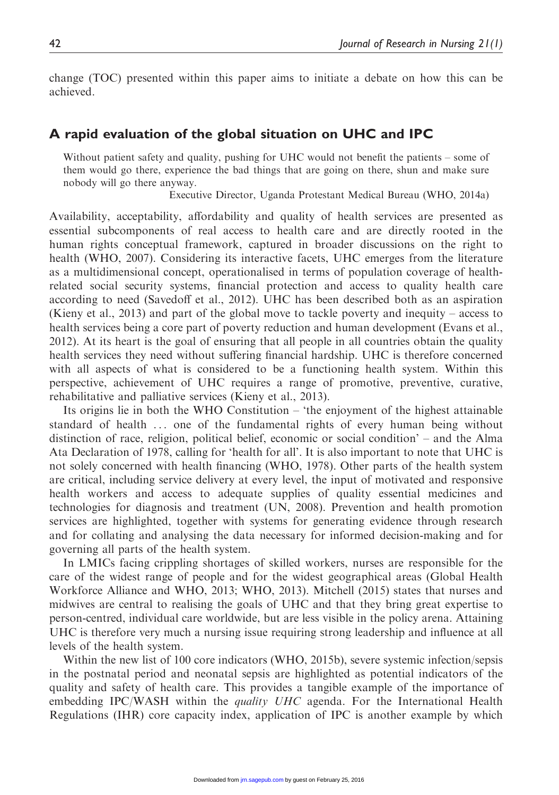change (TOC) presented within this paper aims to initiate a debate on how this can be achieved.

## A rapid evaluation of the global situation on UHC and IPC

Without patient safety and quality, pushing for UHC would not benefit the patients – some of them would go there, experience the bad things that are going on there, shun and make sure nobody will go there anyway.

Executive Director, Uganda Protestant Medical Bureau (WHO, 2014a)

Availability, acceptability, affordability and quality of health services are presented as essential subcomponents of real access to health care and are directly rooted in the human rights conceptual framework, captured in broader discussions on the right to health (WHO, 2007). Considering its interactive facets, UHC emerges from the literature as a multidimensional concept, operationalised in terms of population coverage of healthrelated social security systems, financial protection and access to quality health care according to need (Savedoff et al., 2012). UHC has been described both as an aspiration (Kieny et al., 2013) and part of the global move to tackle poverty and inequity – access to health services being a core part of poverty reduction and human development (Evans et al., 2012). At its heart is the goal of ensuring that all people in all countries obtain the quality health services they need without suffering financial hardship. UHC is therefore concerned with all aspects of what is considered to be a functioning health system. Within this perspective, achievement of UHC requires a range of promotive, preventive, curative, rehabilitative and palliative services (Kieny et al., 2013).

Its origins lie in both the WHO Constitution – 'the enjoyment of the highest attainable standard of health ... one of the fundamental rights of every human being without distinction of race, religion, political belief, economic or social condition' – and the Alma Ata Declaration of 1978, calling for 'health for all'. It is also important to note that UHC is not solely concerned with health financing (WHO, 1978). Other parts of the health system are critical, including service delivery at every level, the input of motivated and responsive health workers and access to adequate supplies of quality essential medicines and technologies for diagnosis and treatment (UN, 2008). Prevention and health promotion services are highlighted, together with systems for generating evidence through research and for collating and analysing the data necessary for informed decision-making and for governing all parts of the health system.

In LMICs facing crippling shortages of skilled workers, nurses are responsible for the care of the widest range of people and for the widest geographical areas (Global Health Workforce Alliance and WHO, 2013; WHO, 2013). Mitchell (2015) states that nurses and midwives are central to realising the goals of UHC and that they bring great expertise to person-centred, individual care worldwide, but are less visible in the policy arena. Attaining UHC is therefore very much a nursing issue requiring strong leadership and influence at all levels of the health system.

Within the new list of 100 core indicators (WHO, 2015b), severe systemic infection/sepsis in the postnatal period and neonatal sepsis are highlighted as potential indicators of the quality and safety of health care. This provides a tangible example of the importance of embedding IPC/WASH within the *quality UHC* agenda. For the International Health Regulations (IHR) core capacity index, application of IPC is another example by which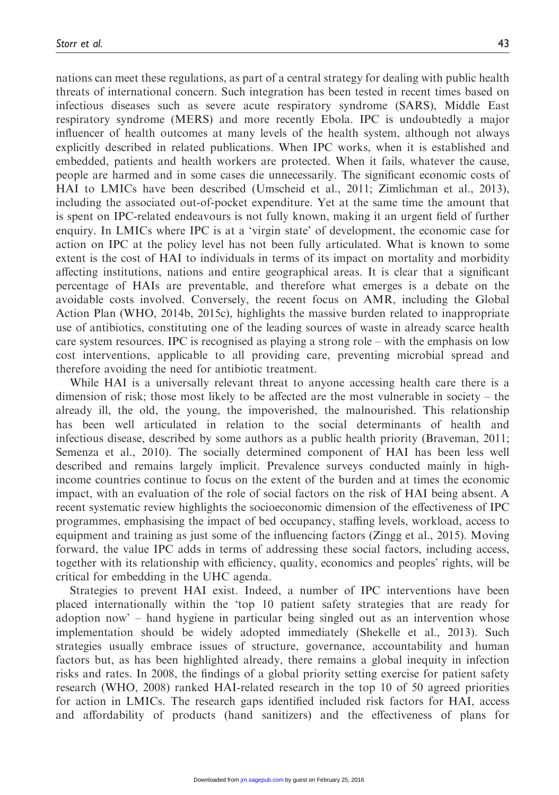nations can meet these regulations, as part of a central strategy for dealing with public health threats of international concern. Such integration has been tested in recent times based on infectious diseases such as severe acute respiratory syndrome (SARS), Middle East respiratory syndrome (MERS) and more recently Ebola. IPC is undoubtedly a major influencer of health outcomes at many levels of the health system, although not always explicitly described in related publications. When IPC works, when it is established and embedded, patients and health workers are protected. When it fails, whatever the cause, people are harmed and in some cases die unnecessarily. The significant economic costs of HAI to LMICs have been described (Umscheid et al., 2011; Zimlichman et al., 2013), including the associated out-of-pocket expenditure. Yet at the same time the amount that is spent on IPC-related endeavours is not fully known, making it an urgent field of further enquiry. In LMICs where IPC is at a 'virgin state' of development, the economic case for action on IPC at the policy level has not been fully articulated. What is known to some extent is the cost of HAI to individuals in terms of its impact on mortality and morbidity affecting institutions, nations and entire geographical areas. It is clear that a significant percentage of HAIs are preventable, and therefore what emerges is a debate on the avoidable costs involved. Conversely, the recent focus on AMR, including the Global Action Plan (WHO, 2014b, 2015c), highlights the massive burden related to inappropriate use of antibiotics, constituting one of the leading sources of waste in already scarce health care system resources. IPC is recognised as playing a strong role – with the emphasis on low cost interventions, applicable to all providing care, preventing microbial spread and therefore avoiding the need for antibiotic treatment.

While HAI is a universally relevant threat to anyone accessing health care there is a dimension of risk; those most likely to be affected are the most vulnerable in society – the already ill, the old, the young, the impoverished, the malnourished. This relationship has been well articulated in relation to the social determinants of health and infectious disease, described by some authors as a public health priority (Braveman, 2011; Semenza et al., 2010). The socially determined component of HAI has been less well described and remains largely implicit. Prevalence surveys conducted mainly in highincome countries continue to focus on the extent of the burden and at times the economic impact, with an evaluation of the role of social factors on the risk of HAI being absent. A recent systematic review highlights the socioeconomic dimension of the effectiveness of IPC programmes, emphasising the impact of bed occupancy, staffing levels, workload, access to equipment and training as just some of the influencing factors (Zingg et al., 2015). Moving forward, the value IPC adds in terms of addressing these social factors, including access, together with its relationship with efficiency, quality, economics and peoples' rights, will be critical for embedding in the UHC agenda.

Strategies to prevent HAI exist. Indeed, a number of IPC interventions have been placed internationally within the 'top 10 patient safety strategies that are ready for adoption now' – hand hygiene in particular being singled out as an intervention whose implementation should be widely adopted immediately (Shekelle et al., 2013). Such strategies usually embrace issues of structure, governance, accountability and human factors but, as has been highlighted already, there remains a global inequity in infection risks and rates. In 2008, the findings of a global priority setting exercise for patient safety research (WHO, 2008) ranked HAI-related research in the top 10 of 50 agreed priorities for action in LMICs. The research gaps identified included risk factors for HAI, access and affordability of products (hand sanitizers) and the effectiveness of plans for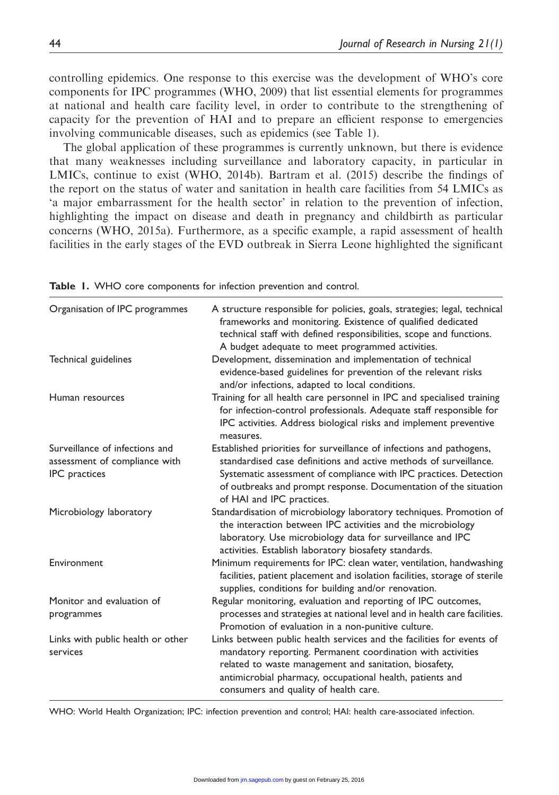controlling epidemics. One response to this exercise was the development of WHO's core components for IPC programmes (WHO, 2009) that list essential elements for programmes at national and health care facility level, in order to contribute to the strengthening of capacity for the prevention of HAI and to prepare an efficient response to emergencies involving communicable diseases, such as epidemics (see Table 1).

The global application of these programmes is currently unknown, but there is evidence that many weaknesses including surveillance and laboratory capacity, in particular in LMICs, continue to exist (WHO, 2014b). Bartram et al. (2015) describe the findings of the report on the status of water and sanitation in health care facilities from 54 LMICs as 'a major embarrassment for the health sector' in relation to the prevention of infection, highlighting the impact on disease and death in pregnancy and childbirth as particular concerns (WHO, 2015a). Furthermore, as a specific example, a rapid assessment of health facilities in the early stages of the EVD outbreak in Sierra Leone highlighted the significant

| Organisation of IPC programmes                | A structure responsible for policies, goals, strategies; legal, technical<br>frameworks and monitoring. Existence of qualified dedicated<br>technical staff with defined responsibilities, scope and functions.<br>A budget adequate to meet programmed activities.                                  |
|-----------------------------------------------|------------------------------------------------------------------------------------------------------------------------------------------------------------------------------------------------------------------------------------------------------------------------------------------------------|
| Technical guidelines                          | Development, dissemination and implementation of technical<br>evidence-based guidelines for prevention of the relevant risks<br>and/or infections, adapted to local conditions.                                                                                                                      |
| Human resources                               | Training for all health care personnel in IPC and specialised training<br>for infection-control professionals. Adequate staff responsible for<br>IPC activities. Address biological risks and implement preventive<br>measures.                                                                      |
| Surveillance of infections and                | Established priorities for surveillance of infections and pathogens,                                                                                                                                                                                                                                 |
| assessment of compliance with                 | standardised case definitions and active methods of surveillance.                                                                                                                                                                                                                                    |
| IPC practices                                 | Systematic assessment of compliance with IPC practices. Detection<br>of outbreaks and prompt response. Documentation of the situation<br>of HAI and IPC practices.                                                                                                                                   |
| Microbiology laboratory                       | Standardisation of microbiology laboratory techniques. Promotion of<br>the interaction between IPC activities and the microbiology<br>laboratory. Use microbiology data for surveillance and IPC<br>activities. Establish laboratory biosafety standards.                                            |
| Environment                                   | Minimum requirements for IPC: clean water, ventilation, handwashing<br>facilities, patient placement and isolation facilities, storage of sterile<br>supplies, conditions for building and/or renovation.                                                                                            |
| Monitor and evaluation of<br>programmes       | Regular monitoring, evaluation and reporting of IPC outcomes,<br>processes and strategies at national level and in health care facilities.<br>Promotion of evaluation in a non-punitive culture.                                                                                                     |
| Links with public health or other<br>services | Links between public health services and the facilities for events of<br>mandatory reporting. Permanent coordination with activities<br>related to waste management and sanitation, biosafety,<br>antimicrobial pharmacy, occupational health, patients and<br>consumers and quality of health care. |

Table 1. WHO core components for infection prevention and control.

WHO: World Health Organization; IPC: infection prevention and control; HAI: health care-associated infection.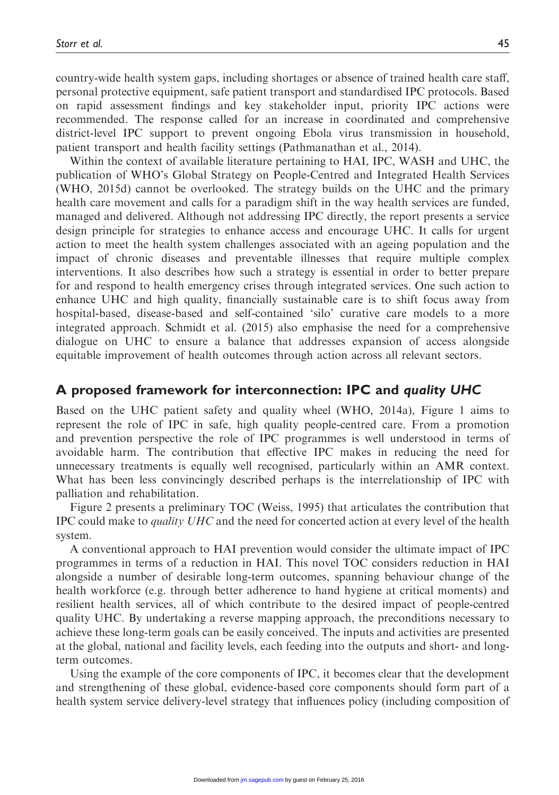country-wide health system gaps, including shortages or absence of trained health care staff, personal protective equipment, safe patient transport and standardised IPC protocols. Based on rapid assessment findings and key stakeholder input, priority IPC actions were recommended. The response called for an increase in coordinated and comprehensive district-level IPC support to prevent ongoing Ebola virus transmission in household, patient transport and health facility settings (Pathmanathan et al., 2014).

Within the context of available literature pertaining to HAI, IPC, WASH and UHC, the publication of WHO's Global Strategy on People-Centred and Integrated Health Services (WHO, 2015d) cannot be overlooked. The strategy builds on the UHC and the primary health care movement and calls for a paradigm shift in the way health services are funded, managed and delivered. Although not addressing IPC directly, the report presents a service design principle for strategies to enhance access and encourage UHC. It calls for urgent action to meet the health system challenges associated with an ageing population and the impact of chronic diseases and preventable illnesses that require multiple complex interventions. It also describes how such a strategy is essential in order to better prepare for and respond to health emergency crises through integrated services. One such action to enhance UHC and high quality, financially sustainable care is to shift focus away from hospital-based, disease-based and self-contained 'silo' curative care models to a more integrated approach. Schmidt et al. (2015) also emphasise the need for a comprehensive dialogue on UHC to ensure a balance that addresses expansion of access alongside equitable improvement of health outcomes through action across all relevant sectors.

## A proposed framework for interconnection: IPC and quality UHC

Based on the UHC patient safety and quality wheel (WHO, 2014a), Figure 1 aims to represent the role of IPC in safe, high quality people-centred care. From a promotion and prevention perspective the role of IPC programmes is well understood in terms of avoidable harm. The contribution that effective IPC makes in reducing the need for unnecessary treatments is equally well recognised, particularly within an AMR context. What has been less convincingly described perhaps is the interrelationship of IPC with palliation and rehabilitation.

Figure 2 presents a preliminary TOC (Weiss, 1995) that articulates the contribution that IPC could make to *quality UHC* and the need for concerted action at every level of the health system.

A conventional approach to HAI prevention would consider the ultimate impact of IPC programmes in terms of a reduction in HAI. This novel TOC considers reduction in HAI alongside a number of desirable long-term outcomes, spanning behaviour change of the health workforce (e.g. through better adherence to hand hygiene at critical moments) and resilient health services, all of which contribute to the desired impact of people-centred quality UHC. By undertaking a reverse mapping approach, the preconditions necessary to achieve these long-term goals can be easily conceived. The inputs and activities are presented at the global, national and facility levels, each feeding into the outputs and short- and longterm outcomes.

Using the example of the core components of IPC, it becomes clear that the development and strengthening of these global, evidence-based core components should form part of a health system service delivery-level strategy that influences policy (including composition of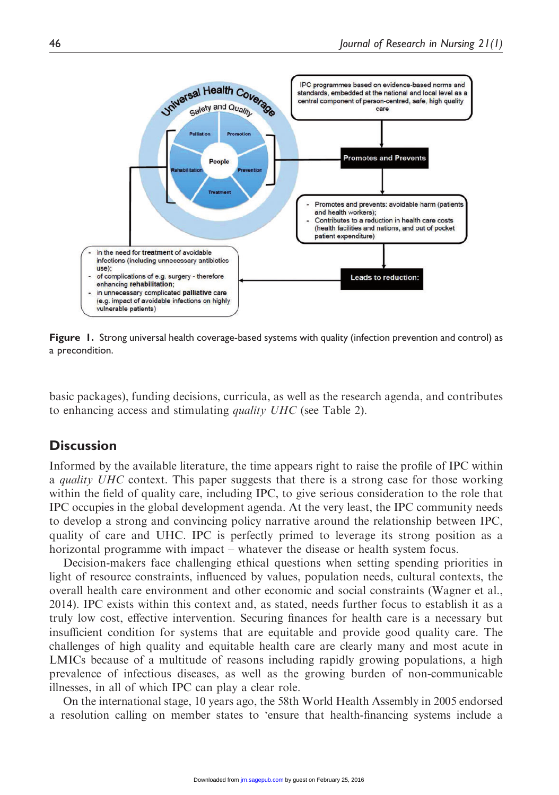

Figure 1. Strong universal health coverage-based systems with quality (infection prevention and control) as a precondition.

basic packages), funding decisions, curricula, as well as the research agenda, and contributes to enhancing access and stimulating quality UHC (see Table 2).

#### **Discussion**

Informed by the available literature, the time appears right to raise the profile of IPC within a quality UHC context. This paper suggests that there is a strong case for those working within the field of quality care, including IPC, to give serious consideration to the role that IPC occupies in the global development agenda. At the very least, the IPC community needs to develop a strong and convincing policy narrative around the relationship between IPC, quality of care and UHC. IPC is perfectly primed to leverage its strong position as a horizontal programme with impact – whatever the disease or health system focus.

Decision-makers face challenging ethical questions when setting spending priorities in light of resource constraints, influenced by values, population needs, cultural contexts, the overall health care environment and other economic and social constraints (Wagner et al., 2014). IPC exists within this context and, as stated, needs further focus to establish it as a truly low cost, effective intervention. Securing finances for health care is a necessary but insufficient condition for systems that are equitable and provide good quality care. The challenges of high quality and equitable health care are clearly many and most acute in LMICs because of a multitude of reasons including rapidly growing populations, a high prevalence of infectious diseases, as well as the growing burden of non-communicable illnesses, in all of which IPC can play a clear role.

On the international stage, 10 years ago, the 58th World Health Assembly in 2005 endorsed a resolution calling on member states to 'ensure that health-financing systems include a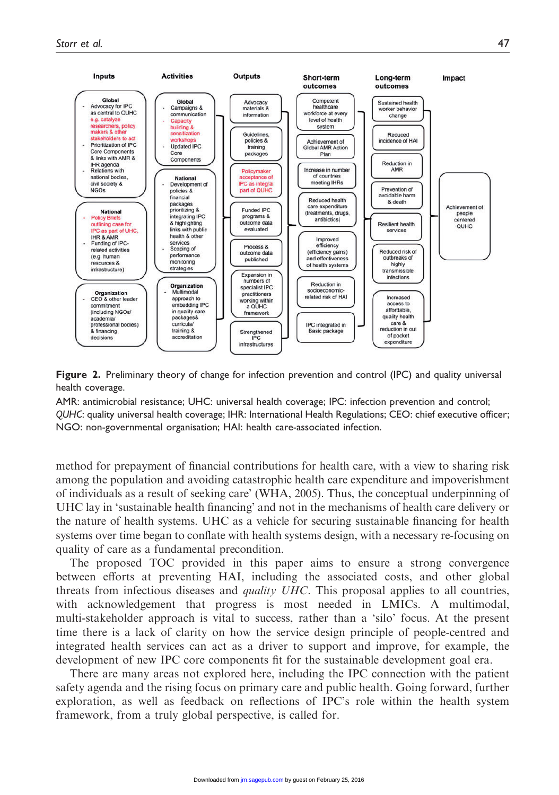

Figure 2. Preliminary theory of change for infection prevention and control (IPC) and quality universal health coverage.

AMR: antimicrobial resistance; UHC: universal health coverage; IPC: infection prevention and control; QUHC: quality universal health coverage; IHR: International Health Regulations; CEO: chief executive officer; NGO: non-governmental organisation; HAI: health care-associated infection.

method for prepayment of financial contributions for health care, with a view to sharing risk among the population and avoiding catastrophic health care expenditure and impoverishment of individuals as a result of seeking care' (WHA, 2005). Thus, the conceptual underpinning of UHC lay in 'sustainable health financing' and not in the mechanisms of health care delivery or the nature of health systems. UHC as a vehicle for securing sustainable financing for health systems over time began to conflate with health systems design, with a necessary re-focusing on quality of care as a fundamental precondition.

The proposed TOC provided in this paper aims to ensure a strong convergence between efforts at preventing HAI, including the associated costs, and other global threats from infectious diseases and *quality UHC*. This proposal applies to all countries, with acknowledgement that progress is most needed in LMICs. A multimodal, multi-stakeholder approach is vital to success, rather than a 'silo' focus. At the present time there is a lack of clarity on how the service design principle of people-centred and integrated health services can act as a driver to support and improve, for example, the development of new IPC core components fit for the sustainable development goal era.

There are many areas not explored here, including the IPC connection with the patient safety agenda and the rising focus on primary care and public health. Going forward, further exploration, as well as feedback on reflections of IPC's role within the health system framework, from a truly global perspective, is called for.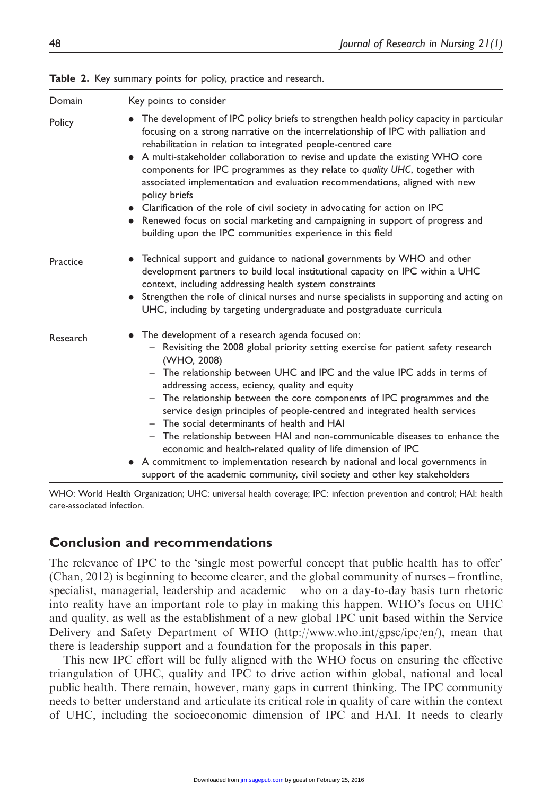| Domain   | Key points to consider                                                                                                                                                                                                                                                                                                                                                                                                                                                                                                                                                                                                                                                                                                                                                                                        |
|----------|---------------------------------------------------------------------------------------------------------------------------------------------------------------------------------------------------------------------------------------------------------------------------------------------------------------------------------------------------------------------------------------------------------------------------------------------------------------------------------------------------------------------------------------------------------------------------------------------------------------------------------------------------------------------------------------------------------------------------------------------------------------------------------------------------------------|
| Policy   | • The development of IPC policy briefs to strengthen health policy capacity in particular<br>focusing on a strong narrative on the interrelationship of IPC with palliation and<br>rehabilitation in relation to integrated people-centred care<br>• A multi-stakeholder collaboration to revise and update the existing WHO core<br>components for IPC programmes as they relate to quality UHC, together with<br>associated implementation and evaluation recommendations, aligned with new<br>policy briefs<br>• Clarification of the role of civil society in advocating for action on IPC<br>• Renewed focus on social marketing and campaigning in support of progress and<br>building upon the IPC communities experience in this field                                                                |
| Practice | • Technical support and guidance to national governments by WHO and other<br>development partners to build local institutional capacity on IPC within a UHC<br>context, including addressing health system constraints<br>• Strengthen the role of clinical nurses and nurse specialists in supporting and acting on<br>UHC, including by targeting undergraduate and postgraduate curricula                                                                                                                                                                                                                                                                                                                                                                                                                  |
| Research | The development of a research agenda focused on:<br>- Revisiting the 2008 global priority setting exercise for patient safety research<br>(WHO, 2008)<br>- The relationship between UHC and IPC and the value IPC adds in terms of<br>addressing access, eciency, quality and equity<br>- The relationship between the core components of IPC programmes and the<br>service design principles of people-centred and integrated health services<br>- The social determinants of health and HAI<br>- The relationship between HAI and non-communicable diseases to enhance the<br>economic and health-related quality of life dimension of IPC<br>• A commitment to implementation research by national and local governments in<br>support of the academic community, civil society and other key stakeholders |

Table 2. Key summary points for policy, practice and research.

WHO: World Health Organization; UHC: universal health coverage; IPC: infection prevention and control; HAI: health care-associated infection.

## Conclusion and recommendations

The relevance of IPC to the 'single most powerful concept that public health has to offer' (Chan, 2012) is beginning to become clearer, and the global community of nurses – frontline, specialist, managerial, leadership and academic – who on a day-to-day basis turn rhetoric into reality have an important role to play in making this happen. WHO's focus on UHC and quality, as well as the establishment of a new global IPC unit based within the Service Delivery and Safety Department of WHO (http://www.who.int/gpsc/ipc/en/), mean that there is leadership support and a foundation for the proposals in this paper.

This new IPC effort will be fully aligned with the WHO focus on ensuring the effective triangulation of UHC, quality and IPC to drive action within global, national and local public health. There remain, however, many gaps in current thinking. The IPC community needs to better understand and articulate its critical role in quality of care within the context of UHC, including the socioeconomic dimension of IPC and HAI. It needs to clearly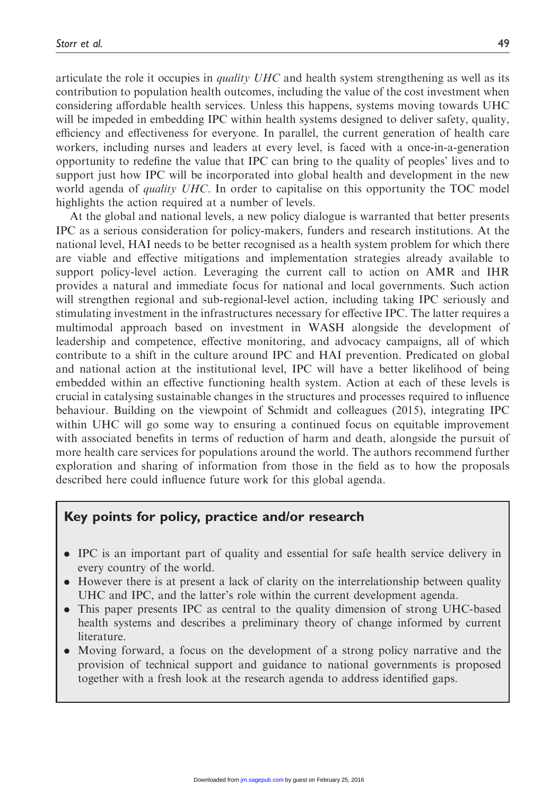articulate the role it occupies in *quality UHC* and health system strengthening as well as its contribution to population health outcomes, including the value of the cost investment when considering affordable health services. Unless this happens, systems moving towards UHC will be impeded in embedding IPC within health systems designed to deliver safety, quality, efficiency and effectiveness for everyone. In parallel, the current generation of health care workers, including nurses and leaders at every level, is faced with a once-in-a-generation opportunity to redefine the value that IPC can bring to the quality of peoples' lives and to support just how IPC will be incorporated into global health and development in the new world agenda of *quality UHC*. In order to capitalise on this opportunity the TOC model highlights the action required at a number of levels.

At the global and national levels, a new policy dialogue is warranted that better presents IPC as a serious consideration for policy-makers, funders and research institutions. At the national level, HAI needs to be better recognised as a health system problem for which there are viable and effective mitigations and implementation strategies already available to support policy-level action. Leveraging the current call to action on AMR and IHR provides a natural and immediate focus for national and local governments. Such action will strengthen regional and sub-regional-level action, including taking IPC seriously and stimulating investment in the infrastructures necessary for effective IPC. The latter requires a multimodal approach based on investment in WASH alongside the development of leadership and competence, effective monitoring, and advocacy campaigns, all of which contribute to a shift in the culture around IPC and HAI prevention. Predicated on global and national action at the institutional level, IPC will have a better likelihood of being embedded within an effective functioning health system. Action at each of these levels is crucial in catalysing sustainable changes in the structures and processes required to influence behaviour. Building on the viewpoint of Schmidt and colleagues (2015), integrating IPC within UHC will go some way to ensuring a continued focus on equitable improvement with associated benefits in terms of reduction of harm and death, alongside the pursuit of more health care services for populations around the world. The authors recommend further exploration and sharing of information from those in the field as to how the proposals described here could influence future work for this global agenda.

## Key points for policy, practice and/or research

- . IPC is an important part of quality and essential for safe health service delivery in every country of the world.
- . However there is at present a lack of clarity on the interrelationship between quality UHC and IPC, and the latter's role within the current development agenda.
- . This paper presents IPC as central to the quality dimension of strong UHC-based health systems and describes a preliminary theory of change informed by current literature.
- . Moving forward, a focus on the development of a strong policy narrative and the provision of technical support and guidance to national governments is proposed together with a fresh look at the research agenda to address identified gaps.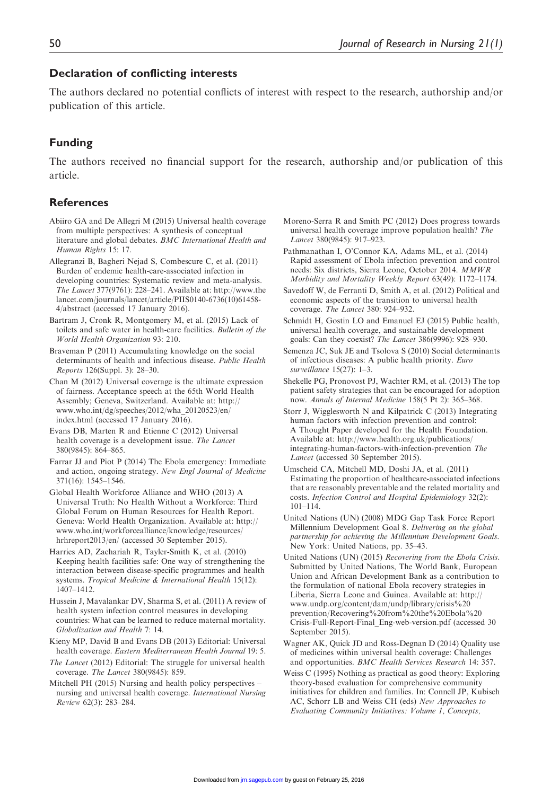#### Declaration of conflicting interests

The authors declared no potential conflicts of interest with respect to the research, authorship and/or publication of this article.

#### Funding

The authors received no financial support for the research, authorship and/or publication of this article.

#### **References**

- Abiiro GA and De Allegri M (2015) Universal health coverage from multiple perspectives: A synthesis of conceptual literature and global debates. BMC International Health and Human Rights 15: 17.
- Allegranzi B, Bagheri Nejad S, Combescure C, et al. (2011) Burden of endemic health-care-associated infection in developing countries: Systematic review and meta-analysis. The Lancet 377(9761): 228–241. Available at: http://www.the lancet.com/journals/lancet/article/PIIS0140-6736(10)61458- 4/abstract (accessed 17 January 2016).

Bartram J, Cronk R, Montgomery M, et al. (2015) Lack of toilets and safe water in health-care facilities. Bulletin of the World Health Organization 93: 210.

- Braveman P (2011) Accumulating knowledge on the social determinants of health and infectious disease. Public Health Reports 126(Suppl. 3): 28–30.
- Chan M (2012) Universal coverage is the ultimate expression of fairness. Acceptance speech at the 65th World Health Assembly; Geneva, Switzerland. Available at: http:// www.who.int/dg/speeches/2012/wha\_20120523/en/ index.html (accessed 17 January 2016).
- Evans DB, Marten R and Etienne C (2012) Universal health coverage is a development issue. The Lancet 380(9845): 864–865.
- Farrar JJ and Piot P (2014) The Ebola emergency: Immediate and action, ongoing strategy. New Engl Journal of Medicine 371(16): 1545–1546.
- Global Health Workforce Alliance and WHO (2013) A Universal Truth: No Health Without a Workforce: Third Global Forum on Human Resources for Health Report. Geneva: World Health Organization. Available at: http:// www.who.int/workforcealliance/knowledge/resources/ hrhreport2013/en/ (accessed 30 September 2015).
- Harries AD, Zachariah R, Tayler-Smith K, et al. (2010) Keeping health facilities safe: One way of strengthening the interaction between disease-specific programmes and health systems. Tropical Medicine & International Health 15(12): 1407–1412.
- Hussein J, Mavalankar DV, Sharma S, et al. (2011) A review of health system infection control measures in developing countries: What can be learned to reduce maternal mortality. Globalization and Health 7: 14.
- Kieny MP, David B and Evans DB (2013) Editorial: Universal health coverage. Eastern Mediterranean Health Journal 19: 5.
- The Lancet (2012) Editorial: The struggle for universal health coverage. The Lancet 380(9845): 859.
- Mitchell PH (2015) Nursing and health policy perspectives nursing and universal health coverage. International Nursing Review 62(3): 283–284.
- Moreno-Serra R and Smith PC (2012) Does progress towards universal health coverage improve population health? The Lancet 380(9845): 917–923.
- Pathmanathan I, O'Connor KA, Adams ML, et al. (2014) Rapid assessment of Ebola infection prevention and control needs: Six districts, Sierra Leone, October 2014. MMWR Morbidity and Mortality Weekly Report 63(49): 1172–1174.
- Savedoff W, de Ferranti D, Smith A, et al. (2012) Political and economic aspects of the transition to universal health coverage. The Lancet 380: 924–932.
- Schmidt H, Gostin LO and Emanuel EJ (2015) Public health, universal health coverage, and sustainable development goals: Can they coexist? The Lancet 386(9996): 928–930.
- Semenza JC, Suk JE and Tsolova S (2010) Social determinants of infectious diseases: A public health priority. Euro surveillance 15(27): 1–3.
- Shekelle PG, Pronovost PJ, Wachter RM, et al. (2013) The top patient safety strategies that can be encouraged for adoption now. Annals of Internal Medicine 158(5 Pt 2): 365–368.
- Storr J, Wigglesworth N and Kilpatrick C (2013) Integrating human factors with infection prevention and control: A Thought Paper developed for the Health Foundation. Available at: http://www.health.org.uk/publications/ integrating-human-factors-with-infection-prevention The Lancet (accessed 30 September 2015).
- Umscheid CA, Mitchell MD, Doshi JA, et al. (2011) Estimating the proportion of healthcare-associated infections that are reasonably preventable and the related mortality and costs. Infection Control and Hospital Epidemiology 32(2): 101–114.
- United Nations (UN) (2008) MDG Gap Task Force Report Millennium Development Goal 8. Delivering on the global partnership for achieving the Millennium Development Goals. New York: United Nations, pp. 35–43.
- United Nations (UN) (2015) Recovering from the Ebola Crisis. Submitted by United Nations, The World Bank, European Union and African Development Bank as a contribution to the formulation of national Ebola recovery strategies in Liberia, Sierra Leone and Guinea. Available at: http:// www.undp.org/content/dam/undp/library/crisis%20 prevention/Recovering%20from%20the%20Ebola%20 Crisis-Full-Report-Final\_Eng-web-version.pdf (accessed 30 September 2015).
- Wagner AK, Quick JD and Ross-Degnan D (2014) Quality use of medicines within universal health coverage: Challenges and opportunities. BMC Health Services Research 14: 357.
- Weiss C (1995) Nothing as practical as good theory: Exploring theory-based evaluation for comprehensive community initiatives for children and families. In: Connell IP, Kubisch AC, Schorr LB and Weiss CH (eds) New Approaches to Evaluating Community Initiatives: Volume 1, Concepts,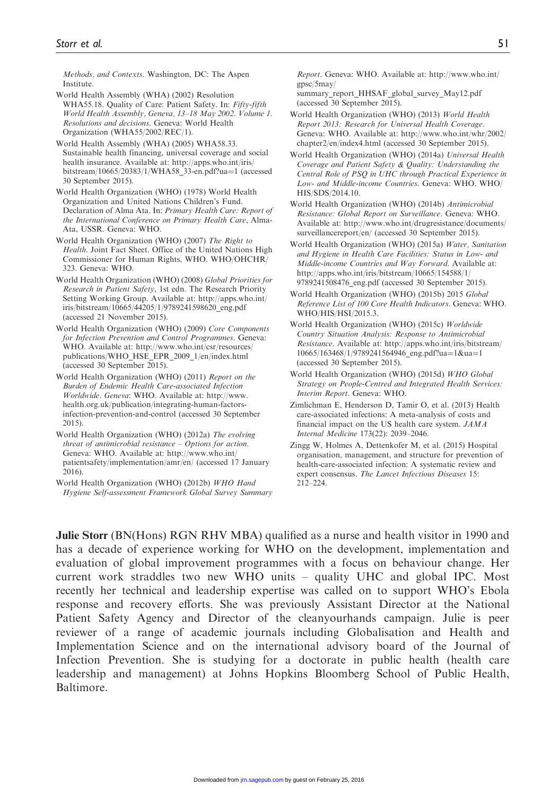Methods, and Contexts. Washington, DC: The Aspen Institute.

World Health Assembly (WHA) (2002) Resolution WHA55.18. Quality of Care: Patient Safety. In: Fifty-fifth World Health Assembly, Geneva, 13–18 May 2002. Volume 1. Resolutions and decisions. Geneva: World Health Organization (WHA55/2002/REC/1).

World Health Assembly (WHA) (2005) WHA58.33. Sustainable health financing, universal coverage and social health insurance. Available at: http://apps.who.int/iris/ bitstream/10665/20383/1/WHA58\_33-en.pdf?ua=1 (accessed 30 September 2015).

World Health Organization (WHO) (1978) World Health Organization and United Nations Children's Fund. Declaration of Alma Ata. In: Primary Health Care: Report of the International Conference on Primary Health Care, Alma-Ata, USSR. Geneva: WHO.

World Health Organization (WHO) (2007) The Right to Health. Joint Fact Sheet. Office of the United Nations High Commissioner for Human Rights, WHO. WHO/OHCHR/ 323. Geneva: WHO.

World Health Organization (WHO) (2008) Global Priorities for Research in Patient Safety, 1st edn. The Research Priority Setting Working Group. Available at: http://apps.who.int/ iris/bitstream/10665/44205/1/9789241598620\_eng.pdf (accessed 21 November 2015).

World Health Organization (WHO) (2009) Core Components for Infection Prevention and Control Programmes. Geneva: WHO. Available at: http://www.who.int/csr/resources/ publications/WHO\_HSE\_EPR\_2009\_1/en/index.html (accessed 30 September 2015).

World Health Organization (WHO) (2011) Report on the Burden of Endemic Health Care-associated Infection Worldwide. Geneva: WHO. Available at: http://www. health.org.uk/publication/integrating-human-factorsinfection-prevention-and-control (accessed 30 September 2015).

World Health Organization (WHO) (2012a) The evolving threat of antimicrobial resistance – Options for action. Geneva: WHO. Available at: http://www.who.int/ patientsafety/implementation/amr/en/ (accessed 17 January 2016).

World Health Organization (WHO) (2012b) WHO Hand Hygiene Self-assessment Framework Global Survey Summary Report. Geneva: WHO. Available at: http://www.who.int/ gpsc/5may/

summary\_report\_HHSAF\_global\_survey\_May12.pdf (accessed 30 September 2015).

World Health Organization (WHO) (2013) World Health Report 2013: Research for Universal Health Coverage. Geneva: WHO. Available at: http://www.who.int/whr/2002/ chapter2/en/index4.html (accessed 30 September 2015).

World Health Organization (WHO) (2014a) Universal Health Coverage and Patient Safety & Quality: Understanding the Central Role of PSQ in UHC through Practical Experience in Low- and Middle-income Countries. Geneva: WHO. WHO/ HIS/SDS/2014.10.

World Health Organization (WHO) (2014b) Antimicrobial Resistance: Global Report on Surveillance. Geneva: WHO. Available at: http://www.who.int/drugresistance/documents/ surveillancereport/en/ (accessed 30 September 2015).

World Health Organization (WHO) (2015a) Water, Sanitation and Hygiene in Health Care Facilities: Status in Low- and Middle-income Countries and Way Forward. Available at: http://apps.who.int/iris/bitstream/10665/154588/1/ 9789241508476\_eng.pdf (accessed 30 September 2015).

World Health Organization (WHO) (2015b) 2015 Global Reference List of 100 Core Health Indicators. Geneva: WHO. WHO/HIS/HSI/2015.3.

World Health Organization (WHO) (2015c) Worldwide Country Situation Analysis: Response to Antimicrobial Resistance. Available at: http://apps.who.int/iris/bitstream/ 10665/163468/1/9789241564946\_eng.pdf?ua=1&ua=1 (accessed 30 September 2015).

World Health Organization (WHO) (2015d) WHO Global Strategy on People-Centred and Integrated Health Services: Interim Report. Geneva: WHO.

Zimlichman E, Henderson D, Tamir O, et al. (2013) Health care-associated infections: A meta-analysis of costs and financial impact on the US health care system. JAMA Internal Medicine 173(22): 2039–2046.

Zingg W, Holmes A, Dettenkofer M, et al. (2015) Hospital organisation, management, and structure for prevention of health-care-associated infection: A systematic review and expert consensus. The Lancet Infectious Diseases 15: 212–224.

Julie Storr (BN(Hons) RGN RHV MBA) qualified as a nurse and health visitor in 1990 and has a decade of experience working for WHO on the development, implementation and evaluation of global improvement programmes with a focus on behaviour change. Her current work straddles two new WHO units – quality UHC and global IPC. Most recently her technical and leadership expertise was called on to support WHO's Ebola response and recovery efforts. She was previously Assistant Director at the National Patient Safety Agency and Director of the cleanyourhands campaign. Julie is peer reviewer of a range of academic journals including Globalisation and Health and Implementation Science and on the international advisory board of the Journal of Infection Prevention. She is studying for a doctorate in public health (health care leadership and management) at Johns Hopkins Bloomberg School of Public Health, Baltimore.